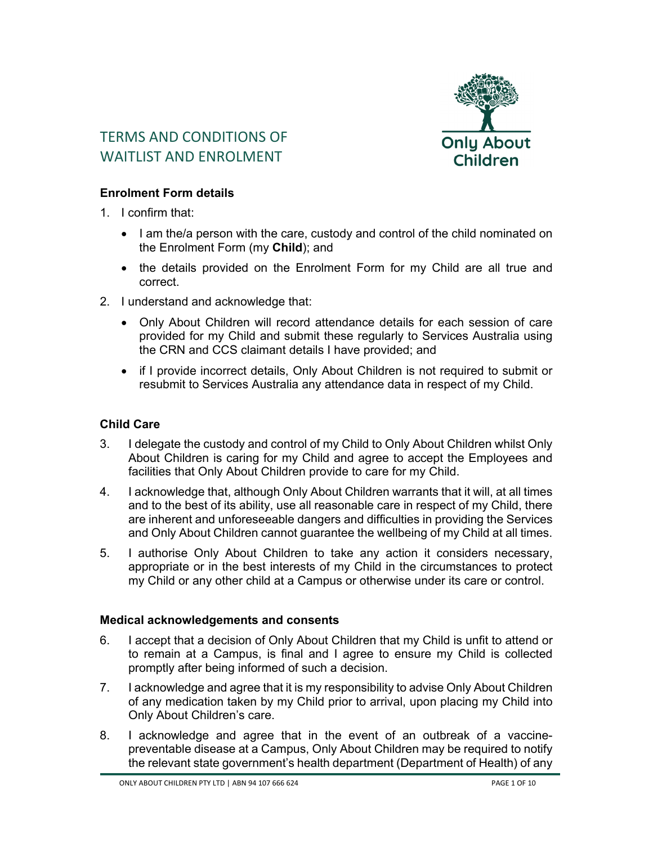

# TERMS AND CONDITIONS OF WAITLIST AND FNROLMENT

## **Enrolment Form details**

- 1. I confirm that:
	- I am the/a person with the care, custody and control of the child nominated on the Enrolment Form (my **Child**); and
	- the details provided on the Enrolment Form for my Child are all true and correct.
- 2. I understand and acknowledge that:
	- Only About Children will record attendance details for each session of care provided for my Child and submit these regularly to Services Australia using the CRN and CCS claimant details I have provided; and
	- if I provide incorrect details, Only About Children is not required to submit or resubmit to Services Australia any attendance data in respect of my Child.

## **Child Care**

- 3. I delegate the custody and control of my Child to Only About Children whilst Only About Children is caring for my Child and agree to accept the Employees and facilities that Only About Children provide to care for my Child.
- 4. I acknowledge that, although Only About Children warrants that it will, at all times and to the best of its ability, use all reasonable care in respect of my Child, there are inherent and unforeseeable dangers and difficulties in providing the Services and Only About Children cannot guarantee the wellbeing of my Child at all times.
- 5. I authorise Only About Children to take any action it considers necessary, appropriate or in the best interests of my Child in the circumstances to protect my Child or any other child at a Campus or otherwise under its care or control.

## **Medical acknowledgements and consents**

- 6. I accept that a decision of Only About Children that my Child is unfit to attend or to remain at a Campus, is final and I agree to ensure my Child is collected promptly after being informed of such a decision.
- 7. I acknowledge and agree that it is my responsibility to advise Only About Children of any medication taken by my Child prior to arrival, upon placing my Child into Only About Children's care.
- 8. I acknowledge and agree that in the event of an outbreak of a vaccinepreventable disease at a Campus, Only About Children may be required to notify the relevant state government's health department (Department of Health) of any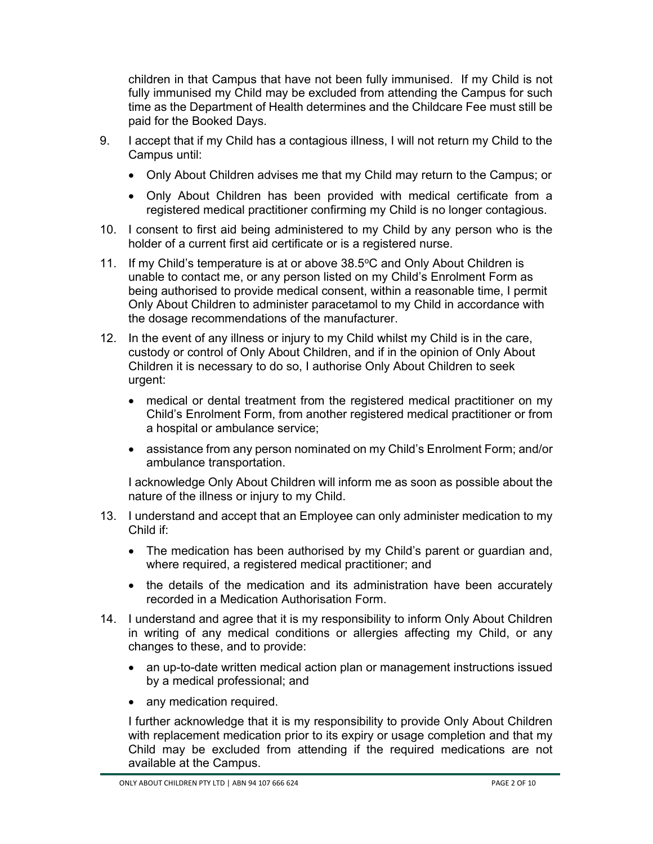children in that Campus that have not been fully immunised. If my Child is not fully immunised my Child may be excluded from attending the Campus for such time as the Department of Health determines and the Childcare Fee must still be paid for the Booked Days.

- 9. I accept that if my Child has a contagious illness, I will not return my Child to the Campus until:
	- Only About Children advises me that my Child may return to the Campus; or
	- Only About Children has been provided with medical certificate from a registered medical practitioner confirming my Child is no longer contagious.
- 10. I consent to first aid being administered to my Child by any person who is the holder of a current first aid certificate or is a registered nurse.
- 11. If my Child's temperature is at or above 38.5°C and Only About Children is unable to contact me, or any person listed on my Child's Enrolment Form as being authorised to provide medical consent, within a reasonable time, I permit Only About Children to administer paracetamol to my Child in accordance with the dosage recommendations of the manufacturer.
- 12. In the event of any illness or injury to my Child whilst my Child is in the care, custody or control of Only About Children, and if in the opinion of Only About Children it is necessary to do so, I authorise Only About Children to seek urgent:
	- medical or dental treatment from the registered medical practitioner on my Child's Enrolment Form, from another registered medical practitioner or from a hospital or ambulance service;
	- assistance from any person nominated on my Child's Enrolment Form; and/or ambulance transportation.

I acknowledge Only About Children will inform me as soon as possible about the nature of the illness or injury to my Child.

- 13. I understand and accept that an Employee can only administer medication to my Child if:
	- The medication has been authorised by my Child's parent or guardian and, where required, a registered medical practitioner; and
	- the details of the medication and its administration have been accurately recorded in a Medication Authorisation Form.
- 14. I understand and agree that it is my responsibility to inform Only About Children in writing of any medical conditions or allergies affecting my Child, or any changes to these, and to provide:
	- an up-to-date written medical action plan or management instructions issued by a medical professional; and
	- any medication required.

I further acknowledge that it is my responsibility to provide Only About Children with replacement medication prior to its expiry or usage completion and that my Child may be excluded from attending if the required medications are not available at the Campus.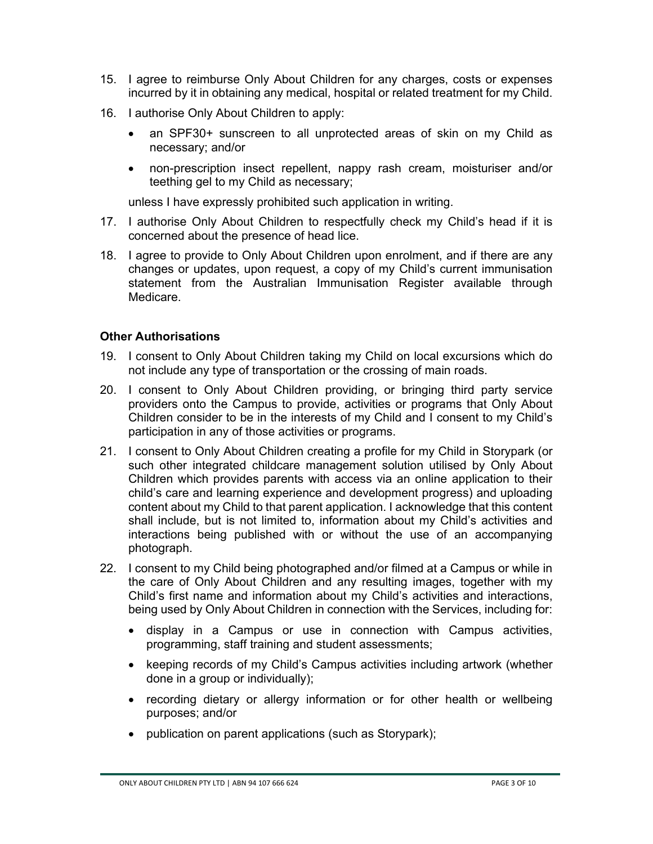- 15. I agree to reimburse Only About Children for any charges, costs or expenses incurred by it in obtaining any medical, hospital or related treatment for my Child.
- 16. I authorise Only About Children to apply:
	- an SPF30+ sunscreen to all unprotected areas of skin on my Child as necessary; and/or
	- non-prescription insect repellent, nappy rash cream, moisturiser and/or teething gel to my Child as necessary;

unless I have expressly prohibited such application in writing.

- 17. I authorise Only About Children to respectfully check my Child's head if it is concerned about the presence of head lice.
- 18. I agree to provide to Only About Children upon enrolment, and if there are any changes or updates, upon request, a copy of my Child's current immunisation statement from the Australian Immunisation Register available through Medicare.

## **Other Authorisations**

- 19. I consent to Only About Children taking my Child on local excursions which do not include any type of transportation or the crossing of main roads.
- 20. I consent to Only About Children providing, or bringing third party service providers onto the Campus to provide, activities or programs that Only About Children consider to be in the interests of my Child and I consent to my Child's participation in any of those activities or programs.
- 21. I consent to Only About Children creating a profile for my Child in Storypark (or such other integrated childcare management solution utilised by Only About Children which provides parents with access via an online application to their child's care and learning experience and development progress) and uploading content about my Child to that parent application. I acknowledge that this content shall include, but is not limited to, information about my Child's activities and interactions being published with or without the use of an accompanying photograph.
- 22. I consent to my Child being photographed and/or filmed at a Campus or while in the care of Only About Children and any resulting images, together with my Child's first name and information about my Child's activities and interactions, being used by Only About Children in connection with the Services, including for:
	- display in a Campus or use in connection with Campus activities, programming, staff training and student assessments;
	- keeping records of my Child's Campus activities including artwork (whether done in a group or individually);
	- recording dietary or allergy information or for other health or wellbeing purposes; and/or
	- publication on parent applications (such as Storypark);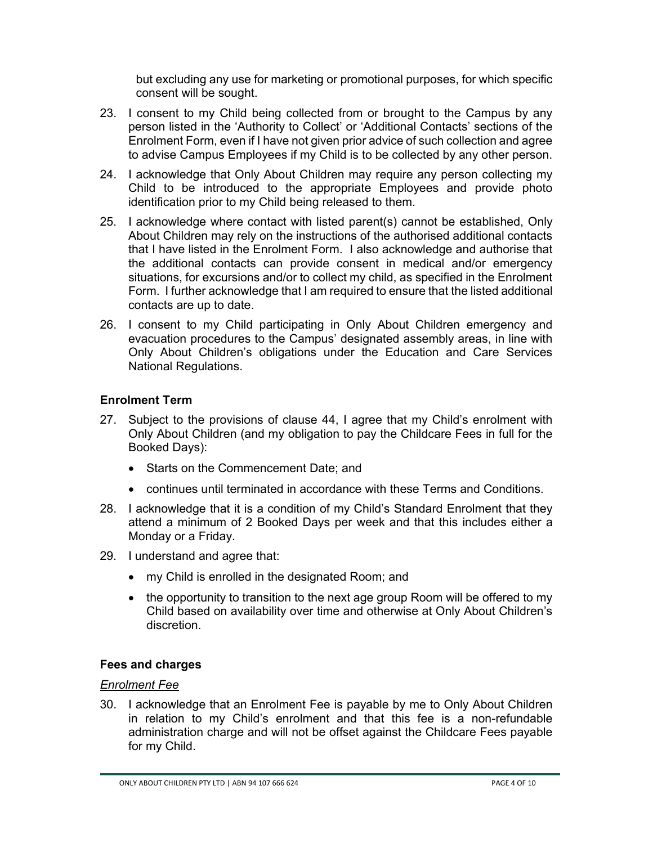but excluding any use for marketing or promotional purposes, for which specific consent will be sought.

- 23. I consent to my Child being collected from or brought to the Campus by any person listed in the 'Authority to Collect' or 'Additional Contacts' sections of the Enrolment Form, even if I have not given prior advice of such collection and agree to advise Campus Employees if my Child is to be collected by any other person.
- 24. I acknowledge that Only About Children may require any person collecting my Child to be introduced to the appropriate Employees and provide photo identification prior to my Child being released to them.
- 25. I acknowledge where contact with listed parent(s) cannot be established, Only About Children may rely on the instructions of the authorised additional contacts that I have listed in the Enrolment Form. I also acknowledge and authorise that the additional contacts can provide consent in medical and/or emergency situations, for excursions and/or to collect my child, as specified in the Enrolment Form. I further acknowledge that I am required to ensure that the listed additional contacts are up to date.
- 26. I consent to my Child participating in Only About Children emergency and evacuation procedures to the Campus' designated assembly areas, in line with Only About Children's obligations under the Education and Care Services National Regulations.

# **Enrolment Term**

- 27. Subject to the provisions of clause 44, I agree that my Child's enrolment with Only About Children (and my obligation to pay the Childcare Fees in full for the Booked Days):
	- Starts on the Commencement Date; and
	- continues until terminated in accordance with these Terms and Conditions.
- 28. I acknowledge that it is a condition of my Child's Standard Enrolment that they attend a minimum of 2 Booked Days per week and that this includes either a Monday or a Friday.
- 29. I understand and agree that:
	- my Child is enrolled in the designated Room; and
	- the opportunity to transition to the next age group Room will be offered to my Child based on availability over time and otherwise at Only About Children's discretion.

# **Fees and charges**

## *Enrolment Fee*

30. I acknowledge that an Enrolment Fee is payable by me to Only About Children in relation to my Child's enrolment and that this fee is a non-refundable administration charge and will not be offset against the Childcare Fees payable for my Child.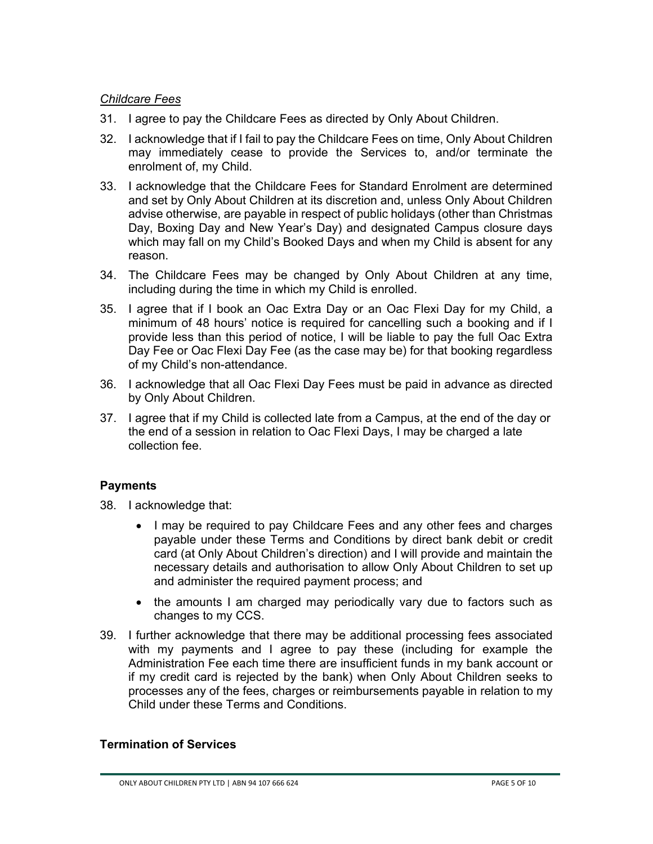#### *Childcare Fees*

- 31. I agree to pay the Childcare Fees as directed by Only About Children.
- 32. I acknowledge that if I fail to pay the Childcare Fees on time, Only About Children may immediately cease to provide the Services to, and/or terminate the enrolment of, my Child.
- 33. I acknowledge that the Childcare Fees for Standard Enrolment are determined and set by Only About Children at its discretion and, unless Only About Children advise otherwise, are payable in respect of public holidays (other than Christmas Day, Boxing Day and New Year's Day) and designated Campus closure days which may fall on my Child's Booked Days and when my Child is absent for any reason.
- 34. The Childcare Fees may be changed by Only About Children at any time, including during the time in which my Child is enrolled.
- 35. I agree that if I book an Oac Extra Day or an Oac Flexi Day for my Child, a minimum of 48 hours' notice is required for cancelling such a booking and if I provide less than this period of notice, I will be liable to pay the full Oac Extra Day Fee or Oac Flexi Day Fee (as the case may be) for that booking regardless of my Child's non-attendance.
- 36. I acknowledge that all Oac Flexi Day Fees must be paid in advance as directed by Only About Children.
- 37. I agree that if my Child is collected late from a Campus, at the end of the day or the end of a session in relation to Oac Flexi Days, I may be charged a late collection fee.

## **Payments**

- 38. I acknowledge that:
	- I may be required to pay Childcare Fees and any other fees and charges payable under these Terms and Conditions by direct bank debit or credit card (at Only About Children's direction) and I will provide and maintain the necessary details and authorisation to allow Only About Children to set up and administer the required payment process; and
	- the amounts I am charged may periodically vary due to factors such as changes to my CCS.
- 39. I further acknowledge that there may be additional processing fees associated with my payments and I agree to pay these (including for example the Administration Fee each time there are insufficient funds in my bank account or if my credit card is rejected by the bank) when Only About Children seeks to processes any of the fees, charges or reimbursements payable in relation to my Child under these Terms and Conditions.

#### **Termination of Services**

ONLY ABOUT CHILDREN PTY LTD | ABN 94 107 666 624 PAGE 5 OF 10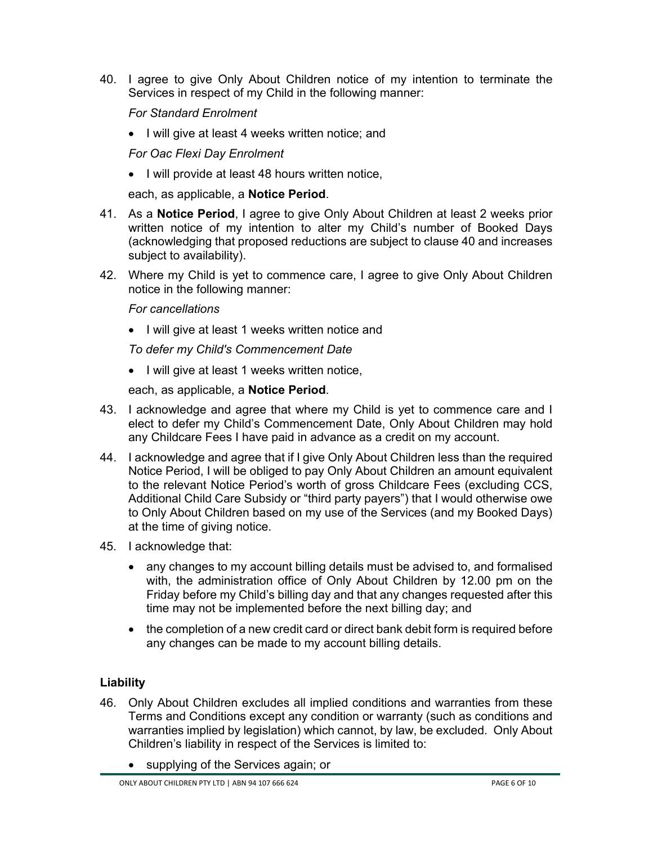40. I agree to give Only About Children notice of my intention to terminate the Services in respect of my Child in the following manner:

*For Standard Enrolment* 

• I will give at least 4 weeks written notice; and

*For Oac Flexi Day Enrolment* 

• I will provide at least 48 hours written notice,

each, as applicable, a **Notice Period**.

- 41. As a **Notice Period**, I agree to give Only About Children at least 2 weeks prior written notice of my intention to alter my Child's number of Booked Days (acknowledging that proposed reductions are subject to clause 40 and increases subject to availability).
- 42. Where my Child is yet to commence care, I agree to give Only About Children notice in the following manner:

*For cancellations* 

• I will give at least 1 weeks written notice and

*To defer my Child's Commencement Date* 

• I will give at least 1 weeks written notice,

each, as applicable, a **Notice Period**.

- 43. I acknowledge and agree that where my Child is yet to commence care and I elect to defer my Child's Commencement Date, Only About Children may hold any Childcare Fees I have paid in advance as a credit on my account.
- 44. I acknowledge and agree that if I give Only About Children less than the required Notice Period, I will be obliged to pay Only About Children an amount equivalent to the relevant Notice Period's worth of gross Childcare Fees (excluding CCS, Additional Child Care Subsidy or "third party payers") that I would otherwise owe to Only About Children based on my use of the Services (and my Booked Days) at the time of giving notice.
- 45. I acknowledge that:
	- any changes to my account billing details must be advised to, and formalised with, the administration office of Only About Children by 12.00 pm on the Friday before my Child's billing day and that any changes requested after this time may not be implemented before the next billing day; and
	- the completion of a new credit card or direct bank debit form is required before any changes can be made to my account billing details.

# **Liability**

- 46. Only About Children excludes all implied conditions and warranties from these Terms and Conditions except any condition or warranty (such as conditions and warranties implied by legislation) which cannot, by law, be excluded. Only About Children's liability in respect of the Services is limited to:
	- supplying of the Services again; or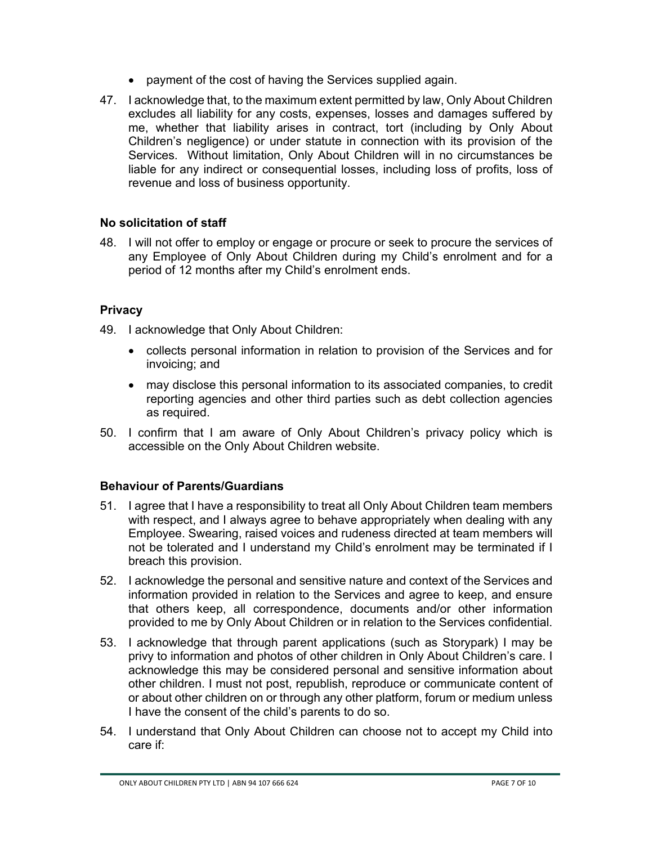- payment of the cost of having the Services supplied again.
- 47. I acknowledge that, to the maximum extent permitted by law, Only About Children excludes all liability for any costs, expenses, losses and damages suffered by me, whether that liability arises in contract, tort (including by Only About Children's negligence) or under statute in connection with its provision of the Services. Without limitation, Only About Children will in no circumstances be liable for any indirect or consequential losses, including loss of profits, loss of revenue and loss of business opportunity.

# **No solicitation of staff**

48. I will not offer to employ or engage or procure or seek to procure the services of any Employee of Only About Children during my Child's enrolment and for a period of 12 months after my Child's enrolment ends.

# **Privacy**

- 49. I acknowledge that Only About Children:
	- collects personal information in relation to provision of the Services and for invoicing; and
	- may disclose this personal information to its associated companies, to credit reporting agencies and other third parties such as debt collection agencies as required.
- 50. I confirm that I am aware of Only About Children's privacy policy which is accessible on the Only About Children website.

## **Behaviour of Parents/Guardians**

- 51. I agree that I have a responsibility to treat all Only About Children team members with respect, and I always agree to behave appropriately when dealing with any Employee. Swearing, raised voices and rudeness directed at team members will not be tolerated and I understand my Child's enrolment may be terminated if I breach this provision.
- 52. I acknowledge the personal and sensitive nature and context of the Services and information provided in relation to the Services and agree to keep, and ensure that others keep, all correspondence, documents and/or other information provided to me by Only About Children or in relation to the Services confidential.
- 53. I acknowledge that through parent applications (such as Storypark) I may be privy to information and photos of other children in Only About Children's care. I acknowledge this may be considered personal and sensitive information about other children. I must not post, republish, reproduce or communicate content of or about other children on or through any other platform, forum or medium unless I have the consent of the child's parents to do so.
- 54. I understand that Only About Children can choose not to accept my Child into care if: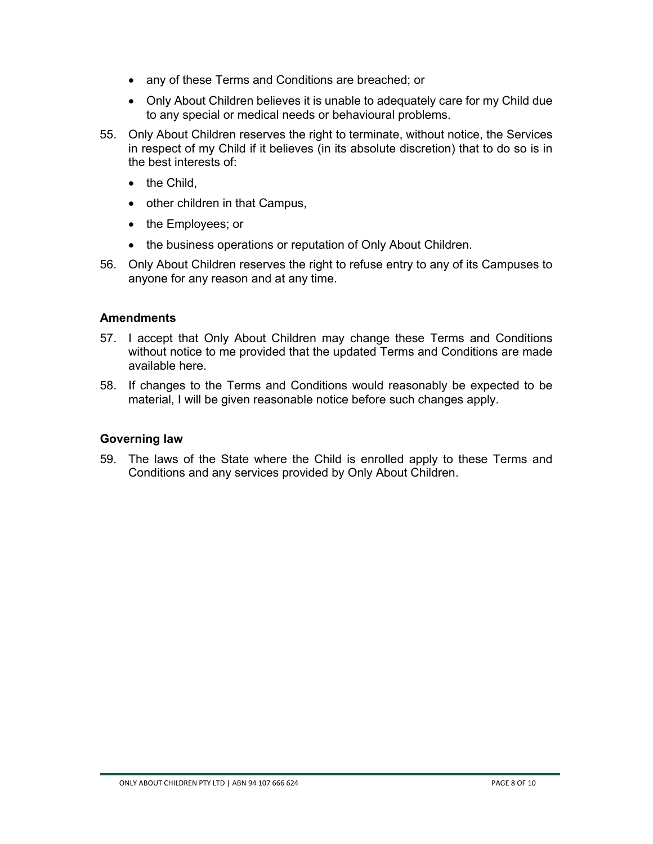- any of these Terms and Conditions are breached; or
- Only About Children believes it is unable to adequately care for my Child due to any special or medical needs or behavioural problems.
- 55. Only About Children reserves the right to terminate, without notice, the Services in respect of my Child if it believes (in its absolute discretion) that to do so is in the best interests of:
	- $\bullet$  the Child.
	- other children in that Campus,
	- the Employees; or
	- the business operations or reputation of Only About Children.
- 56. Only About Children reserves the right to refuse entry to any of its Campuses to anyone for any reason and at any time.

#### **Amendments**

- 57. I accept that Only About Children may change these Terms and Conditions without notice to me provided that the updated Terms and Conditions are made available here.
- 58. If changes to the Terms and Conditions would reasonably be expected to be material, I will be given reasonable notice before such changes apply.

#### **Governing law**

59. The laws of the State where the Child is enrolled apply to these Terms and Conditions and any services provided by Only About Children.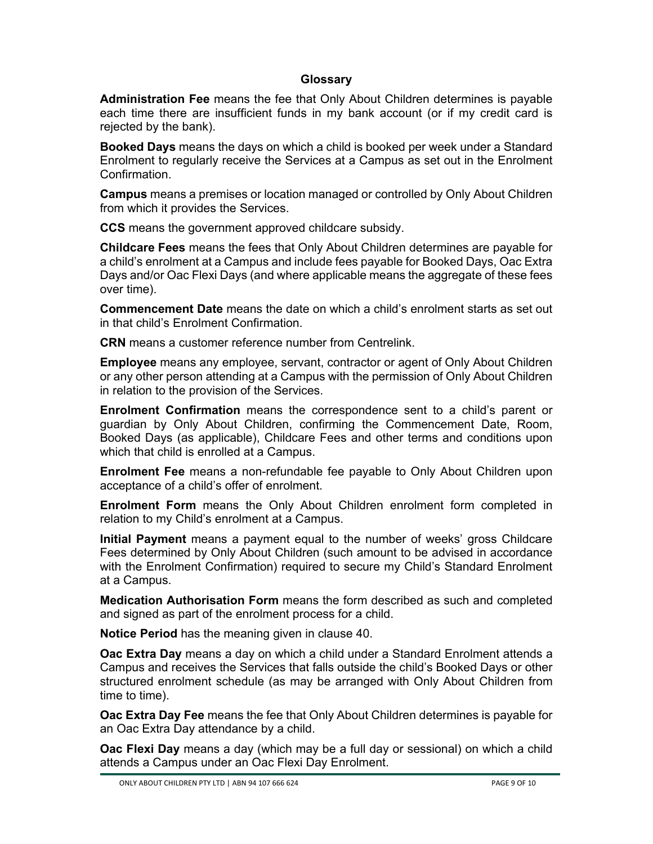#### **Glossary**

**Administration Fee** means the fee that Only About Children determines is payable each time there are insufficient funds in my bank account (or if my credit card is rejected by the bank).

**Booked Days** means the days on which a child is booked per week under a Standard Enrolment to regularly receive the Services at a Campus as set out in the Enrolment Confirmation.

**Campus** means a premises or location managed or controlled by Only About Children from which it provides the Services.

**CCS** means the government approved childcare subsidy.

**Childcare Fees** means the fees that Only About Children determines are payable for a child's enrolment at a Campus and include fees payable for Booked Days, Oac Extra Days and/or Oac Flexi Days (and where applicable means the aggregate of these fees over time).

**Commencement Date** means the date on which a child's enrolment starts as set out in that child's Enrolment Confirmation.

**CRN** means a customer reference number from Centrelink.

**Employee** means any employee, servant, contractor or agent of Only About Children or any other person attending at a Campus with the permission of Only About Children in relation to the provision of the Services.

**Enrolment Confirmation** means the correspondence sent to a child's parent or guardian by Only About Children, confirming the Commencement Date, Room, Booked Days (as applicable), Childcare Fees and other terms and conditions upon which that child is enrolled at a Campus.

**Enrolment Fee** means a non-refundable fee payable to Only About Children upon acceptance of a child's offer of enrolment.

**Enrolment Form** means the Only About Children enrolment form completed in relation to my Child's enrolment at a Campus.

**Initial Payment** means a payment equal to the number of weeks' gross Childcare Fees determined by Only About Children (such amount to be advised in accordance with the Enrolment Confirmation) required to secure my Child's Standard Enrolment at a Campus.

**Medication Authorisation Form** means the form described as such and completed and signed as part of the enrolment process for a child.

**Notice Period** has the meaning given in clause 40.

**Oac Extra Day** means a day on which a child under a Standard Enrolment attends a Campus and receives the Services that falls outside the child's Booked Days or other structured enrolment schedule (as may be arranged with Only About Children from time to time).

**Oac Extra Day Fee** means the fee that Only About Children determines is payable for an Oac Extra Day attendance by a child.

**Oac Flexi Day** means a day (which may be a full day or sessional) on which a child attends a Campus under an Oac Flexi Day Enrolment.